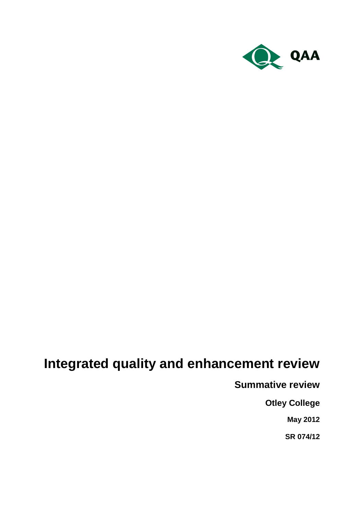

# **Integrated quality and enhancement review**

**Summative review**

**Otley College**

**May 2012**

**SR 074/12**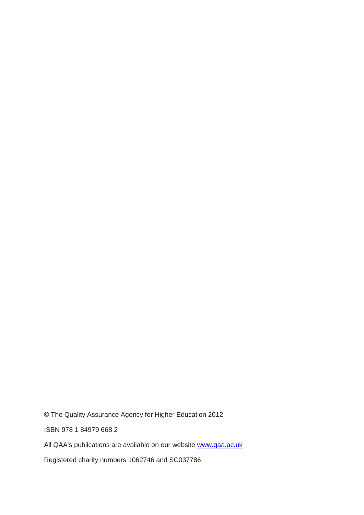© The Quality Assurance Agency for Higher Education 2012

ISBN 978 1 84979 668 2

All QAA's publications are available on our website [www.qaa.ac.uk](http://www.qaa.ac.uk/)

Registered charity numbers 1062746 and SC037786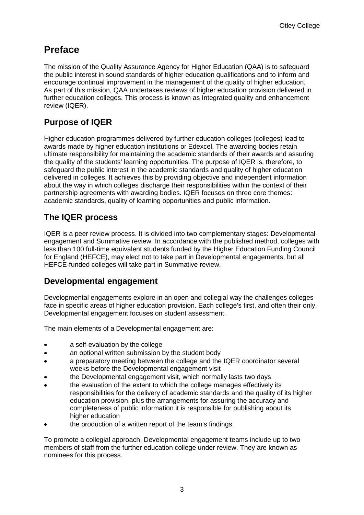# **Preface**

The mission of the Quality Assurance Agency for Higher Education (QAA) is to safeguard the public interest in sound standards of higher education qualifications and to inform and encourage continual improvement in the management of the quality of higher education. As part of this mission, QAA undertakes reviews of higher education provision delivered in further education colleges. This process is known as Integrated quality and enhancement review (IQER).

## **Purpose of IQER**

Higher education programmes delivered by further education colleges (colleges) lead to awards made by higher education institutions or Edexcel. The awarding bodies retain ultimate responsibility for maintaining the academic standards of their awards and assuring the quality of the students' learning opportunities. The purpose of IQER is, therefore, to safeguard the public interest in the academic standards and quality of higher education delivered in colleges. It achieves this by providing objective and independent information about the way in which colleges discharge their responsibilities within the context of their partnership agreements with awarding bodies. IQER focuses on three core themes: academic standards, quality of learning opportunities and public information.

# **The IQER process**

IQER is a peer review process. It is divided into two complementary stages: Developmental engagement and Summative review. In accordance with the published method, colleges with less than 100 full-time equivalent students funded by the Higher Education Funding Council for England (HEFCE), may elect not to take part in Developmental engagements, but all HEFCE-funded colleges will take part in Summative review.

### **Developmental engagement**

Developmental engagements explore in an open and collegial way the challenges colleges face in specific areas of higher education provision. Each college's first, and often their only, Developmental engagement focuses on student assessment.

The main elements of a Developmental engagement are:

- a self-evaluation by the college
- an optional written submission by the student body  $\bullet$
- a preparatory meeting between the college and the IQER coordinator several weeks before the Developmental engagement visit
- the Developmental engagement visit, which normally lasts two days
- the evaluation of the extent to which the college manages effectively its responsibilities for the delivery of academic standards and the quality of its higher education provision, plus the arrangements for assuring the accuracy and completeness of public information it is responsible for publishing about its higher education
- the production of a written report of the team's findings.

To promote a collegial approach, Developmental engagement teams include up to two members of staff from the further education college under review. They are known as nominees for this process.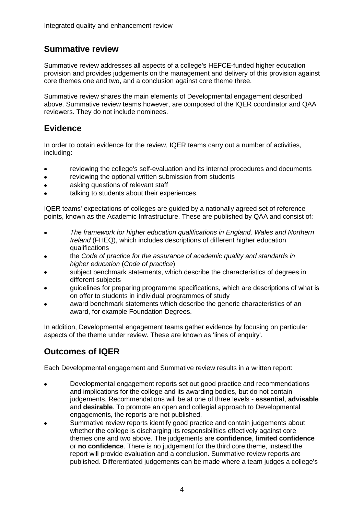## **Summative review**

Summative review addresses all aspects of a college's HEFCE-funded higher education provision and provides judgements on the management and delivery of this provision against core themes one and two, and a conclusion against core theme three.

Summative review shares the main elements of Developmental engagement described above. Summative review teams however, are composed of the IQER coordinator and QAA reviewers. They do not include nominees.

### **Evidence**

In order to obtain evidence for the review, IQER teams carry out a number of activities, including:

- reviewing the college's self-evaluation and its internal procedures and documents
- reviewing the optional written submission from students
- asking questions of relevant staff
- talking to students about their experiences.

IQER teams' expectations of colleges are guided by a nationally agreed set of reference points, known as the Academic Infrastructure. These are published by QAA and consist of:

- *The framework for higher education qualifications in England, Wales and Northern*   $\bullet$ *Ireland* (FHEQ), which includes descriptions of different higher education qualifications
- the *Code of practice for the assurance of academic quality and standards in higher education* (*Code of practice*)
- subject benchmark statements, which describe the characteristics of degrees in different subjects
- guidelines for preparing programme specifications, which are descriptions of what is on offer to students in individual programmes of study
- award benchmark statements which describe the generic characteristics of an award, for example Foundation Degrees.

In addition, Developmental engagement teams gather evidence by focusing on particular aspects of the theme under review. These are known as 'lines of enquiry'.

# **Outcomes of IQER**

Each Developmental engagement and Summative review results in a written report:

- Developmental engagement reports set out good practice and recommendations and implications for the college and its awarding bodies, but do not contain judgements. Recommendations will be at one of three levels - **essential**, **advisable** and **desirable**. To promote an open and collegial approach to Developmental engagements, the reports are not published.
- Summative review reports identify good practice and contain judgements about whether the college is discharging its responsibilities effectively against core themes one and two above. The judgements are **confidence**, **limited confidence** or **no confidence**. There is no judgement for the third core theme, instead the report will provide evaluation and a conclusion. Summative review reports are published. Differentiated judgements can be made where a team judges a college's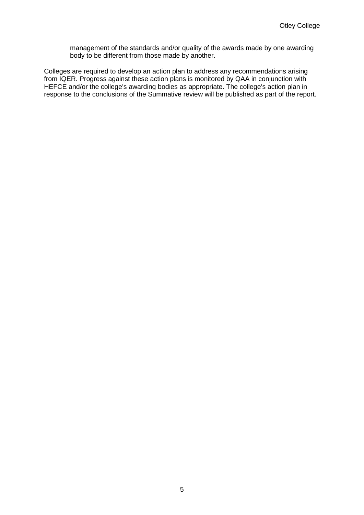management of the standards and/or quality of the awards made by one awarding body to be different from those made by another.

Colleges are required to develop an action plan to address any recommendations arising from IQER. Progress against these action plans is monitored by QAA in conjunction with HEFCE and/or the college's awarding bodies as appropriate. The college's action plan in response to the conclusions of the Summative review will be published as part of the report.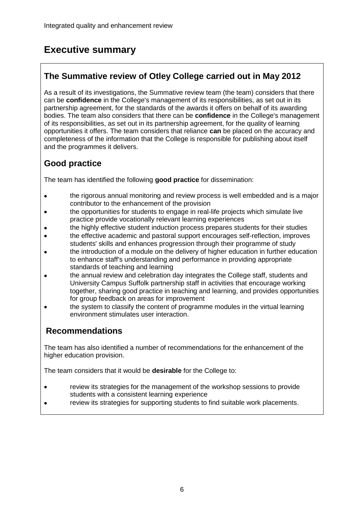# **Executive summary**

# **The Summative review of Otley College carried out in May 2012**

As a result of its investigations, the Summative review team (the team) considers that there can be **confidence** in the College's management of its responsibilities, as set out in its partnership agreement, for the standards of the awards it offers on behalf of its awarding bodies. The team also considers that there can be **confidence** in the College's management of its responsibilities, as set out in its partnership agreement, for the quality of learning opportunities it offers. The team considers that reliance **can** be placed on the accuracy and completeness of the information that the College is responsible for publishing about itself and the programmes it delivers.

# **Good practice**

The team has identified the following **good practice** for dissemination:

- the rigorous annual monitoring and review process is well embedded and is a major  $\bullet$ contributor to the enhancement of the provision
- the opportunities for students to engage in real-life projects which simulate live practice provide vocationally relevant learning experiences
- the highly effective student induction process prepares students for their studies
- the effective academic and pastoral support encourages self-reflection, improves students' skills and enhances progression through their programme of study
- the introduction of a module on the delivery of higher education in further education to enhance staff's understanding and performance in providing appropriate standards of teaching and learning
- the annual review and celebration day integrates the College staff, students and University Campus Suffolk partnership staff in activities that encourage working together, sharing good practice in teaching and learning, and provides opportunities for group feedback on areas for improvement
- the system to classify the content of programme modules in the virtual learning environment stimulates user interaction.

# **Recommendations**

The team has also identified a number of recommendations for the enhancement of the higher education provision.

The team considers that it would be **desirable** for the College to:

- review its strategies for the management of the workshop sessions to provide  $\blacksquare$ students with a consistent learning experience
- review its strategies for supporting students to find suitable work placements.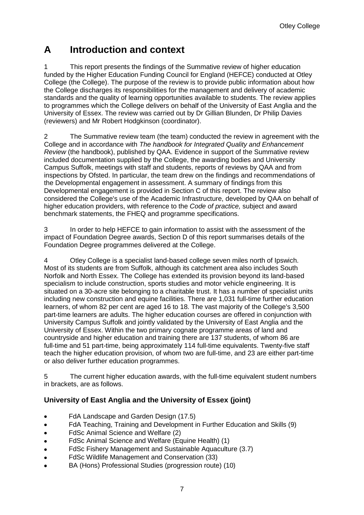# **A Introduction and context**

1 This report presents the findings of the Summative review of higher education funded by the Higher Education Funding Council for England (HEFCE) conducted at Otley College (the College). The purpose of the review is to provide public information about how the College discharges its responsibilities for the management and delivery of academic standards and the quality of learning opportunities available to students. The review applies to programmes which the College delivers on behalf of the University of East Anglia and the University of Essex. The review was carried out by Dr Gillian Blunden, Dr Philip Davies (reviewers) and Mr Robert Hodgkinson (coordinator).

2 The Summative review team (the team) conducted the review in agreement with the College and in accordance with *The handbook for Integrated Quality and Enhancement Review* (the handbook), published by QAA. Evidence in support of the Summative review included documentation supplied by the College, the awarding bodies and University Campus Suffolk, meetings with staff and students, reports of reviews by QAA and from inspections by Ofsted. In particular, the team drew on the findings and recommendations of the Developmental engagement in assessment. A summary of findings from this Developmental engagement is provided in Section C of this report. The review also considered the College's use of the Academic Infrastructure, developed by QAA on behalf of higher education providers, with reference to the *Code of practice,* subject and award benchmark statements, the FHEQ and programme specifications.

3 In order to help HEFCE to gain information to assist with the assessment of the impact of Foundation Degree awards, Section D of this report summarises details of the Foundation Degree programmes delivered at the College.

4 Otley College is a specialist land-based college seven miles north of Ipswich. Most of its students are from Suffolk, although its catchment area also includes South Norfolk and North Essex. The College has extended its provision beyond its land-based specialism to include construction, sports studies and motor vehicle engineering. It is situated on a 30-acre site belonging to a charitable trust. It has a number of specialist units including new construction and equine facilities. There are 1,031 full-time further education learners, of whom 82 per cent are aged 16 to 18. The vast majority of the College's 3,500 part-time learners are adults. The higher education courses are offered in conjunction with University Campus Suffolk and jointly validated by the University of East Anglia and the University of Essex. Within the two primary cognate programme areas of land and countryside and higher education and training there are 137 students, of whom 86 are full-time and 51 part-time, being approximately 114 full-time equivalents. Twenty-five staff teach the higher education provision, of whom two are full-time, and 23 are either part-time or also deliver further education programmes.

5 The current higher education awards, with the full-time equivalent student numbers in brackets, are as follows.

#### **University of East Anglia and the University of Essex (joint)**

- FdA Landscape and Garden Design (17.5)  $\bullet$
- FdA Teaching, Training and Development in Further Education and Skills (9)  $\bullet$
- FdSc Animal Science and Welfare (2)  $\bullet$
- FdSc Animal Science and Welfare (Equine Health) (1)
- FdSc Fishery Management and Sustainable Aquaculture (3.7)  $\bullet$
- FdSc Wildlife Management and Conservation (33)  $\bullet$
- BA (Hons) Professional Studies (progression route) (10)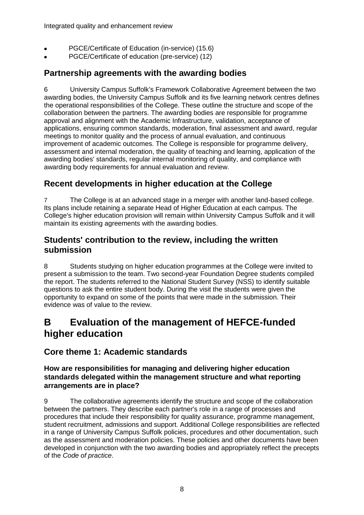- PGCE/Certificate of Education (in-service) (15.6)
- PGCE/Certificate of education (pre-service) (12)

### **Partnership agreements with the awarding bodies**

6 University Campus Suffolk's Framework Collaborative Agreement between the two awarding bodies, the University Campus Suffolk and its five learning network centres defines the operational responsibilities of the College. These outline the structure and scope of the collaboration between the partners. The awarding bodies are responsible for programme approval and alignment with the Academic Infrastructure, validation, acceptance of applications, ensuring common standards, moderation, final assessment and award, regular meetings to monitor quality and the process of annual evaluation, and continuous improvement of academic outcomes. The College is responsible for programme delivery, assessment and internal moderation, the quality of teaching and learning, application of the awarding bodies' standards, regular internal monitoring of quality, and compliance with awarding body requirements for annual evaluation and review.

### **Recent developments in higher education at the College**

7 The College is at an advanced stage in a merger with another land-based college. Its plans include retaining a separate Head of Higher Education at each campus. The College's higher education provision will remain within University Campus Suffolk and it will maintain its existing agreements with the awarding bodies.

### **Students' contribution to the review, including the written submission**

8 Students studying on higher education programmes at the College were invited to present a submission to the team. Two second-year Foundation Degree students compiled the report. The students referred to the National Student Survey (NSS) to identify suitable questions to ask the entire student body. During the visit the students were given the opportunity to expand on some of the points that were made in the submission. Their evidence was of value to the review.

# **B Evaluation of the management of HEFCE-funded higher education**

### **Core theme 1: Academic standards**

#### **How are responsibilities for managing and delivering higher education standards delegated within the management structure and what reporting arrangements are in place?**

9 The collaborative agreements identify the structure and scope of the collaboration between the partners. They describe each partner's role in a range of processes and procedures that include their responsibility for quality assurance, programme management, student recruitment, admissions and support. Additional College responsibilities are reflected in a range of University Campus Suffolk policies, procedures and other documentation, such as the assessment and moderation policies. These policies and other documents have been developed in conjunction with the two awarding bodies and appropriately reflect the precepts of the *Code of practice*.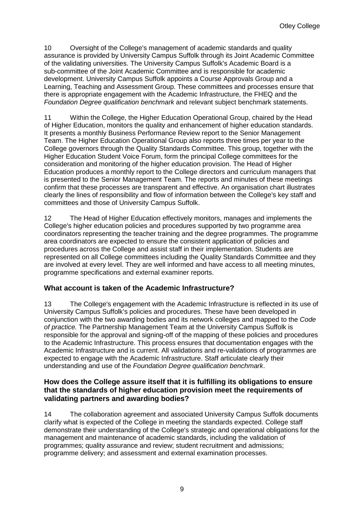10 Oversight of the College's management of academic standards and quality assurance is provided by University Campus Suffolk through its Joint Academic Committee of the validating universities. The University Campus Suffolk's Academic Board is a sub-committee of the Joint Academic Committee and is responsible for academic development. University Campus Suffolk appoints a Course Approvals Group and a Learning, Teaching and Assessment Group. These committees and processes ensure that there is appropriate engagement with the Academic Infrastructure, the FHEQ and the *Foundation Degree qualification benchmark* and relevant subject benchmark statements.

11 Within the College, the Higher Education Operational Group, chaired by the Head of Higher Education, monitors the quality and enhancement of higher education standards. It presents a monthly Business Performance Review report to the Senior Management Team. The Higher Education Operational Group also reports three times per year to the College governors through the Quality Standards Committee. This group, together with the Higher Education Student Voice Forum, form the principal College committees for the consideration and monitoring of the higher education provision. The Head of Higher Education produces a monthly report to the College directors and curriculum managers that is presented to the Senior Management Team. The reports and minutes of these meetings confirm that these processes are transparent and effective. An organisation chart illustrates clearly the lines of responsibility and flow of information between the College's key staff and committees and those of University Campus Suffolk.

12 The Head of Higher Education effectively monitors, manages and implements the College's higher education policies and procedures supported by two programme area coordinators representing the teacher training and the degree programmes. The programme area coordinators are expected to ensure the consistent application of policies and procedures across the College and assist staff in their implementation. Students are represented on all College committees including the Quality Standards Committee and they are involved at every level. They are well informed and have access to all meeting minutes, programme specifications and external examiner reports.

#### **What account is taken of the Academic Infrastructure?**

13 The College's engagement with the Academic Infrastructure is reflected in its use of University Campus Suffolk's policies and procedures. These have been developed in conjunction with the two awarding bodies and its network colleges and mapped to the *Code of practice.* The Partnership Management Team at the University Campus Suffolk is responsible for the approval and signing-off of the mapping of these policies and procedures to the Academic Infrastructure. This process ensures that documentation engages with the Academic Infrastructure and is current. All validations and re-validations of programmes are expected to engage with the Academic Infrastructure. Staff articulate clearly their understanding and use of the *Foundation Degree qualification benchmark*.

#### **How does the College assure itself that it is fulfilling its obligations to ensure that the standards of higher education provision meet the requirements of validating partners and awarding bodies?**

14 The collaboration agreement and associated University Campus Suffolk documents clarify what is expected of the College in meeting the standards expected. College staff demonstrate their understanding of the College's strategic and operational obligations for the management and maintenance of academic standards, including the validation of programmes; quality assurance and review; student recruitment and admissions; programme delivery; and assessment and external examination processes.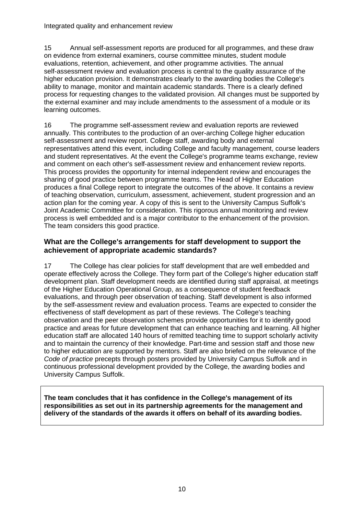15 Annual self-assessment reports are produced for all programmes, and these draw on evidence from external examiners, course committee minutes, student module evaluations, retention, achievement, and other programme activities. The annual self-assessment review and evaluation process is central to the quality assurance of the higher education provision. It demonstrates clearly to the awarding bodies the College's ability to manage, monitor and maintain academic standards. There is a clearly defined process for requesting changes to the validated provision. All changes must be supported by the external examiner and may include amendments to the assessment of a module or its learning outcomes.

16 The programme self-assessment review and evaluation reports are reviewed annually. This contributes to the production of an over-arching College higher education self-assessment and review report. College staff, awarding body and external representatives attend this event, including College and faculty management, course leaders and student representatives. At the event the College's programme teams exchange, review and comment on each other's self-assessment review and enhancement review reports. This process provides the opportunity for internal independent review and encourages the sharing of good practice between programme teams. The Head of Higher Education produces a final College report to integrate the outcomes of the above. It contains a review of teaching observation, curriculum, assessment, achievement, student progression and an action plan for the coming year. A copy of this is sent to the University Campus Suffolk's Joint Academic Committee for consideration. This rigorous annual monitoring and review process is well embedded and is a major contributor to the enhancement of the provision. The team considers this good practice.

#### **What are the College's arrangements for staff development to support the achievement of appropriate academic standards?**

17 The College has clear policies for staff development that are well embedded and operate effectively across the College. They form part of the College's higher education staff development plan. Staff development needs are identified during staff appraisal, at meetings of the Higher Education Operational Group, as a consequence of student feedback evaluations, and through peer observation of teaching. Staff development is also informed by the self-assessment review and evaluation process. Teams are expected to consider the effectiveness of staff development as part of these reviews. The College's teaching observation and the peer observation schemes provide opportunities for it to identify good practice and areas for future development that can enhance teaching and learning. All higher education staff are allocated 140 hours of remitted teaching time to support scholarly activity and to maintain the currency of their knowledge. Part-time and session staff and those new to higher education are supported by mentors. Staff are also briefed on the relevance of the *Code of practice* precepts through posters provided by University Campus Suffolk and in continuous professional development provided by the College, the awarding bodies and University Campus Suffolk.

**The team concludes that it has confidence in the College's management of its responsibilities as set out in its partnership agreements for the management and delivery of the standards of the awards it offers on behalf of its awarding bodies.**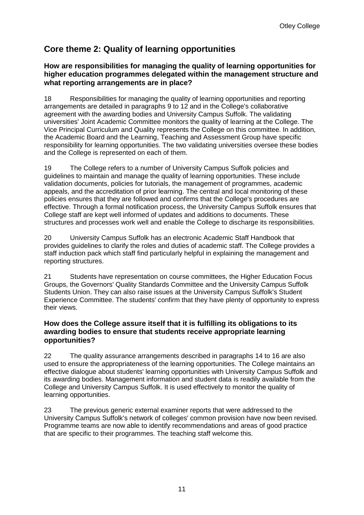# **Core theme 2: Quality of learning opportunities**

#### **How are responsibilities for managing the quality of learning opportunities for higher education programmes delegated within the management structure and what reporting arrangements are in place?**

18 Responsibilities for managing the quality of learning opportunities and reporting arrangements are detailed in paragraphs 9 to 12 and in the College's collaborative agreement with the awarding bodies and University Campus Suffolk. The validating universities' Joint Academic Committee monitors the quality of learning at the College. The Vice Principal Curriculum and Quality represents the College on this committee. In addition, the Academic Board and the Learning, Teaching and Assessment Group have specific responsibility for learning opportunities. The two validating universities oversee these bodies and the College is represented on each of them.

19 The College refers to a number of University Campus Suffolk policies and guidelines to maintain and manage the quality of learning opportunities. These include validation documents, policies for tutorials, the management of programmes, academic appeals, and the accreditation of prior learning. The central and local monitoring of these policies ensures that they are followed and confirms that the College's procedures are effective. Through a formal notification process, the University Campus Suffolk ensures that College staff are kept well informed of updates and additions to documents. These structures and processes work well and enable the College to discharge its responsibilities.

20 University Campus Suffolk has an electronic Academic Staff Handbook that provides guidelines to clarify the roles and duties of academic staff. The College provides a staff induction pack which staff find particularly helpful in explaining the management and reporting structures.

21 Students have representation on course committees, the Higher Education Focus Groups, the Governors' Quality Standards Committee and the University Campus Suffolk Students Union. They can also raise issues at the University Campus Suffolk's Student Experience Committee. The students' confirm that they have plenty of opportunity to express their views.

#### **How does the College assure itself that it is fulfilling its obligations to its awarding bodies to ensure that students receive appropriate learning opportunities?**

22 The quality assurance arrangements described in paragraphs 14 to 16 are also used to ensure the appropriateness of the learning opportunities. The College maintains an effective dialogue about students' learning opportunities with University Campus Suffolk and its awarding bodies. Management information and student data is readily available from the College and University Campus Suffolk. It is used effectively to monitor the quality of learning opportunities.

23 The previous generic external examiner reports that were addressed to the University Campus Suffolk's network of colleges' common provision have now been revised. Programme teams are now able to identify recommendations and areas of good practice that are specific to their programmes. The teaching staff welcome this.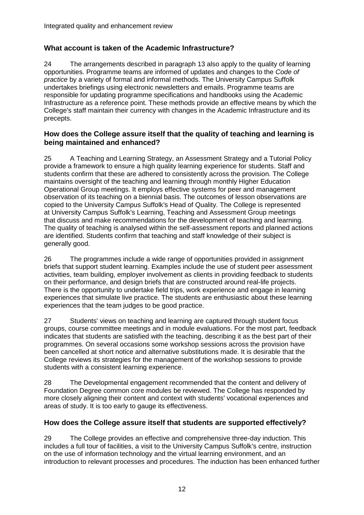#### **What account is taken of the Academic Infrastructure?**

24 The arrangements described in paragraph 13 also apply to the quality of learning opportunities. Programme teams are informed of updates and changes to the *Code of practice* by a variety of formal and informal methods. The University Campus Suffolk undertakes briefings using electronic newsletters and emails. Programme teams are responsible for updating programme specifications and handbooks using the Academic Infrastructure as a reference point. These methods provide an effective means by which the College's staff maintain their currency with changes in the Academic Infrastructure and its precepts.

#### **How does the College assure itself that the quality of teaching and learning is being maintained and enhanced?**

25 A Teaching and Learning Strategy, an Assessment Strategy and a Tutorial Policy provide a framework to ensure a high quality learning experience for students. Staff and students confirm that these are adhered to consistently across the provision. The College maintains oversight of the teaching and learning through monthly Higher Education Operational Group meetings. It employs effective systems for peer and management observation of its teaching on a biennial basis. The outcomes of lesson observations are copied to the University Campus Suffolk's Head of Quality. The College is represented at University Campus Suffolk's Learning, Teaching and Assessment Group meetings that discuss and make recommendations for the development of teaching and learning. The quality of teaching is analysed within the self-assessment reports and planned actions are identified. Students confirm that teaching and staff knowledge of their subject is generally good.

26 The programmes include a wide range of opportunities provided in assignment briefs that support student learning. Examples include the use of student peer assessment activities, team building, employer involvement as clients in providing feedback to students on their performance, and design briefs that are constructed around real-life projects. There is the opportunity to undertake field trips, work experience and engage in learning experiences that simulate live practice. The students are enthusiastic about these learning experiences that the team judges to be good practice.

27 Students' views on teaching and learning are captured through student focus groups, course committee meetings and in module evaluations. For the most part, feedback indicates that students are satisfied with the teaching, describing it as the best part of their programmes. On several occasions some workshop sessions across the provision have been cancelled at short notice and alternative substitutions made. It is desirable that the College reviews its strategies for the management of the workshop sessions to provide students with a consistent learning experience.

28 The Developmental engagement recommended that the content and delivery of Foundation Degree common core modules be reviewed. The College has responded by more closely aligning their content and context with students' vocational experiences and areas of study. It is too early to gauge its effectiveness.

#### **How does the College assure itself that students are supported effectively?**

29 The College provides an effective and comprehensive three-day induction. This includes a full tour of facilities, a visit to the University Campus Suffolk's centre, instruction on the use of information technology and the virtual learning environment, and an introduction to relevant processes and procedures. The induction has been enhanced further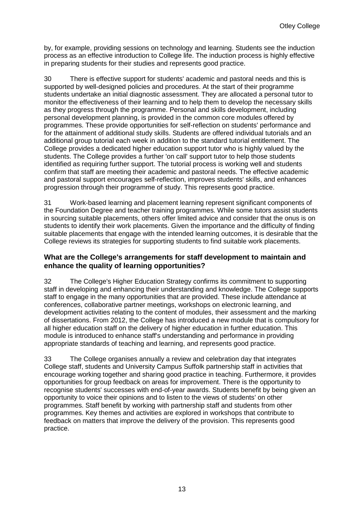by, for example, providing sessions on technology and learning. Students see the induction process as an effective introduction to College life. The induction process is highly effective in preparing students for their studies and represents good practice.

30 There is effective support for students' academic and pastoral needs and this is supported by well-designed policies and procedures. At the start of their programme students undertake an initial diagnostic assessment. They are allocated a personal tutor to monitor the effectiveness of their learning and to help them to develop the necessary skills as they progress through the programme. Personal and skills development, including personal development planning, is provided in the common core modules offered by programmes. These provide opportunities for self-reflection on students' performance and for the attainment of additional study skills. Students are offered individual tutorials and an additional group tutorial each week in addition to the standard tutorial entitlement. The College provides a dedicated higher education support tutor who is highly valued by the students. The College provides a further 'on call' support tutor to help those students identified as requiring further support. The tutorial process is working well and students confirm that staff are meeting their academic and pastoral needs. The effective academic and pastoral support encourages self-reflection, improves students' skills, and enhances progression through their programme of study. This represents good practice.

31 Work-based learning and placement learning represent significant components of the Foundation Degree and teacher training programmes. While some tutors assist students in sourcing suitable placements, others offer limited advice and consider that the onus is on students to identify their work placements. Given the importance and the difficulty of finding suitable placements that engage with the intended learning outcomes, it is desirable that the College reviews its strategies for supporting students to find suitable work placements.

#### **What are the College's arrangements for staff development to maintain and enhance the quality of learning opportunities?**

32 The College's Higher Education Strategy confirms its commitment to supporting staff in developing and enhancing their understanding and knowledge. The College supports staff to engage in the many opportunities that are provided. These include attendance at conferences, collaborative partner meetings, workshops on electronic learning, and development activities relating to the content of modules, their assessment and the marking of dissertations. From 2012, the College has introduced a new module that is compulsory for all higher education staff on the delivery of higher education in further education. This module is introduced to enhance staff's understanding and performance in providing appropriate standards of teaching and learning, and represents good practice.

33 The College organises annually a review and celebration day that integrates College staff, students and University Campus Suffolk partnership staff in activities that encourage working together and sharing good practice in teaching. Furthermore, it provides opportunities for group feedback on areas for improvement. There is the opportunity to recognise students' successes with end-of-year awards. Students benefit by being given an opportunity to voice their opinions and to listen to the views of students' on other programmes. Staff benefit by working with partnership staff and students from other programmes. Key themes and activities are explored in workshops that contribute to feedback on matters that improve the delivery of the provision. This represents good practice.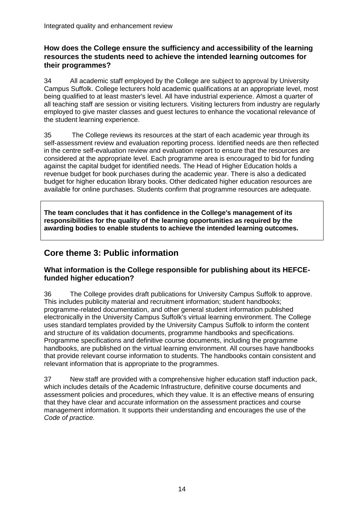#### **How does the College ensure the sufficiency and accessibility of the learning resources the students need to achieve the intended learning outcomes for their programmes?**

34 All academic staff employed by the College are subject to approval by University Campus Suffolk. College lecturers hold academic qualifications at an appropriate level, most being qualified to at least master's level. All have industrial experience. Almost a quarter of all teaching staff are session or visiting lecturers. Visiting lecturers from industry are regularly employed to give master classes and guest lectures to enhance the vocational relevance of the student learning experience.

35 The College reviews its resources at the start of each academic year through its self-assessment review and evaluation reporting process. Identified needs are then reflected in the centre self-evaluation review and evaluation report to ensure that the resources are considered at the appropriate level. Each programme area is encouraged to bid for funding against the capital budget for identified needs. The Head of Higher Education holds a revenue budget for book purchases during the academic year. There is also a dedicated budget for higher education library books. Other dedicated higher education resources are available for online purchases. Students confirm that programme resources are adequate.

**The team concludes that it has confidence in the College's management of its responsibilities for the quality of the learning opportunities as required by the awarding bodies to enable students to achieve the intended learning outcomes.**

## **Core theme 3: Public information**

#### **What information is the College responsible for publishing about its HEFCEfunded higher education?**

36 The College provides draft publications for University Campus Suffolk to approve. This includes publicity material and recruitment information; student handbooks; programme-related documentation, and other general student information published electronically in the University Campus Suffolk's virtual learning environment. The College uses standard templates provided by the University Campus Suffolk to inform the content and structure of its validation documents, programme handbooks and specifications. Programme specifications and definitive course documents, including the programme handbooks, are published on the virtual learning environment. All courses have handbooks that provide relevant course information to students. The handbooks contain consistent and relevant information that is appropriate to the programmes.

37 New staff are provided with a comprehensive higher education staff induction pack, which includes details of the Academic Infrastructure, definitive course documents and assessment policies and procedures, which they value. It is an effective means of ensuring that they have clear and accurate information on the assessment practices and course management information. It supports their understanding and encourages the use of the *Code of practice.*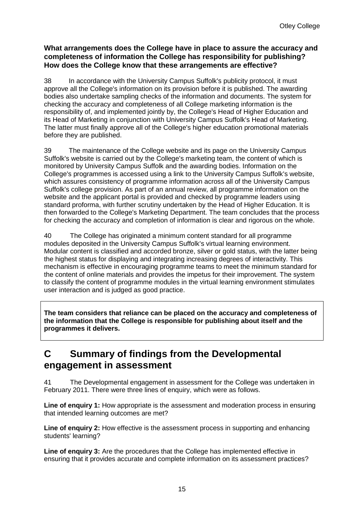#### **What arrangements does the College have in place to assure the accuracy and completeness of information the College has responsibility for publishing? How does the College know that these arrangements are effective?**

38 In accordance with the University Campus Suffolk's publicity protocol, it must approve all the College's information on its provision before it is published. The awarding bodies also undertake sampling checks of the information and documents. The system for checking the accuracy and completeness of all College marketing information is the responsibility of, and implemented jointly by, the College's Head of Higher Education and its Head of Marketing in conjunction with University Campus Suffolk's Head of Marketing. The latter must finally approve all of the College's higher education promotional materials before they are published.

39 The maintenance of the College website and its page on the University Campus Suffolk's website is carried out by the College's marketing team, the content of which is monitored by University Campus Suffolk and the awarding bodies. Information on the College's programmes is accessed using a link to the University Campus Suffolk's website, which assures consistency of programme information across all of the University Campus Suffolk's college provision. As part of an annual review, all programme information on the website and the applicant portal is provided and checked by programme leaders using standard proforma, with further scrutiny undertaken by the Head of Higher Education. It is then forwarded to the College's Marketing Department. The team concludes that the process for checking the accuracy and completion of information is clear and rigorous on the whole.

40 The College has originated a minimum content standard for all programme modules deposited in the University Campus Suffolk's virtual learning environment. Modular content is classified and accorded bronze, silver or gold status, with the latter being the highest status for displaying and integrating increasing degrees of interactivity. This mechanism is effective in encouraging programme teams to meet the minimum standard for the content of online materials and provides the impetus for their improvement. The system to classify the content of programme modules in the virtual learning environment stimulates user interaction and is judged as good practice.

**The team considers that reliance can be placed on the accuracy and completeness of the information that the College is responsible for publishing about itself and the programmes it delivers.**

# **C Summary of findings from the Developmental engagement in assessment**

41 The Developmental engagement in assessment for the College was undertaken in February 2011. There were three lines of enquiry, which were as follows.

**Line of enquiry 1:** How appropriate is the assessment and moderation process in ensuring that intended learning outcomes are met?

**Line of enquiry 2:** How effective is the assessment process in supporting and enhancing students' learning?

**Line of enquiry 3:** Are the procedures that the College has implemented effective in ensuring that it provides accurate and complete information on its assessment practices?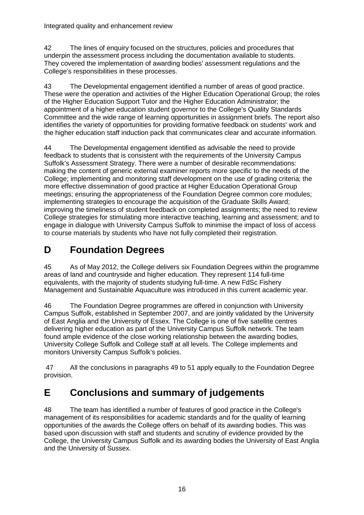42 The lines of enquiry focused on the structures, policies and procedures that underpin the assessment process including the documentation available to students. They covered the implementation of awarding bodies' assessment regulations and the College's responsibilities in these processes.

43 The Developmental engagement identified a number of areas of good practice. These were the operation and activities of the Higher Education Operational Group; the roles of the Higher Education Support Tutor and the Higher Education Administrator; the appointment of a higher education student governor to the College's Quality Standards Committee and the wide range of learning opportunities in assignment briefs. The report also identifies the variety of opportunities for providing formative feedback on students' work and the higher education staff induction pack that communicates clear and accurate information.

44 The Developmental engagement identified as advisable the need to provide feedback to students that is consistent with the requirements of the University Campus Suffolk's Assessment Strategy. There were a number of desirable recommendations: making the content of generic external examiner reports more specific to the needs of the College; implementing and monitoring staff development on the use of grading criteria; the more effective dissemination of good practice at Higher Education Operational Group meetings; ensuring the appropriateness of the Foundation Degree common core modules; implementing strategies to encourage the acquisition of the Graduate Skills Award; improving the timeliness of student feedback on completed assignments; the need to review College strategies for stimulating more interactive teaching, learning and assessment; and to engage in dialogue with University Campus Suffolk to minimise the impact of loss of access to course materials by students who have not fully completed their registration.

# **D Foundation Degrees**

45 As of May 2012, the College delivers six Foundation Degrees within the programme areas of land and countryside and higher education. They represent 114 full-time equivalents, with the majority of students studying full-time. A new FdSc Fishery Management and Sustainable Aquaculture was introduced in this current academic year.

46 The Foundation Degree programmes are offered in conjunction with University Campus Suffolk, established in September 2007, and are jointly validated by the University of East Anglia and the University of Essex. The College is one of five satellite centres delivering higher education as part of the University Campus Suffolk network. The team found ample evidence of the close working relationship between the awarding bodies, University College Suffolk and College staff at all levels. The College implements and monitors University Campus Suffolk's policies.

47 All the conclusions in paragraphs 49 to 51 apply equally to the Foundation Degree provision.

# **E Conclusions and summary of judgements**

48 The team has identified a number of features of good practice in the College's management of its responsibilities for academic standards and for the quality of learning opportunities of the awards the College offers on behalf of its awarding bodies. This was based upon discussion with staff and students and scrutiny of evidence provided by the College, the University Campus Suffolk and its awarding bodies the University of East Anglia and the University of Sussex.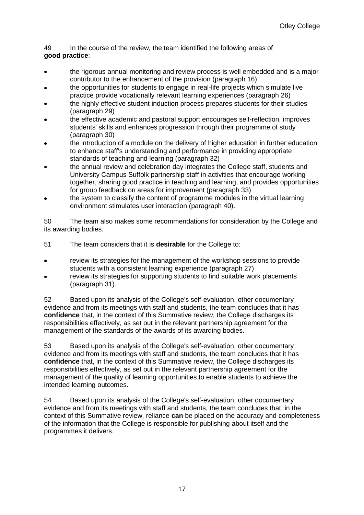49 In the course of the review, the team identified the following areas of **good practice**:

- the rigorous annual monitoring and review process is well embedded and is a major contributor to the enhancement of the provision (paragraph 16)
- the opportunities for students to engage in real-life projects which simulate live practice provide vocationally relevant learning experiences (paragraph 26)
- the highly effective student induction process prepares students for their studies (paragraph 29)
- the effective academic and pastoral support encourages self-reflection, improves students' skills and enhances progression through their programme of study (paragraph 30)
- the introduction of a module on the delivery of higher education in further education to enhance staff's understanding and performance in providing appropriate standards of teaching and learning (paragraph 32)
- the annual review and celebration day integrates the College staff, students and University Campus Suffolk partnership staff in activities that encourage working together, sharing good practice in teaching and learning, and provides opportunities for group feedback on areas for improvement (paragraph 33)
- the system to classify the content of programme modules in the virtual learning environment stimulates user interaction (paragraph 40).

50 The team also makes some recommendations for consideration by the College and its awarding bodies.

- 51 The team considers that it is **desirable** for the College to:
- review its strategies for the management of the workshop sessions to provide students with a consistent learning experience (paragraph 27)
- review its strategies for supporting students to find suitable work placements (paragraph 31).

52 Based upon its analysis of the College's self-evaluation, other documentary evidence and from its meetings with staff and students, the team concludes that it has **confidence** that, in the context of this Summative review, the College discharges its responsibilities effectively, as set out in the relevant partnership agreement for the management of the standards of the awards of its awarding bodies.

53 Based upon its analysis of the College's self-evaluation, other documentary evidence and from its meetings with staff and students, the team concludes that it has **confidence** that, in the context of this Summative review, the College discharges its responsibilities effectively, as set out in the relevant partnership agreement for the management of the quality of learning opportunities to enable students to achieve the intended learning outcomes.

54 Based upon its analysis of the College's self-evaluation, other documentary evidence and from its meetings with staff and students, the team concludes that, in the context of this Summative review, reliance **can** be placed on the accuracy and completeness of the information that the College is responsible for publishing about itself and the programmes it delivers.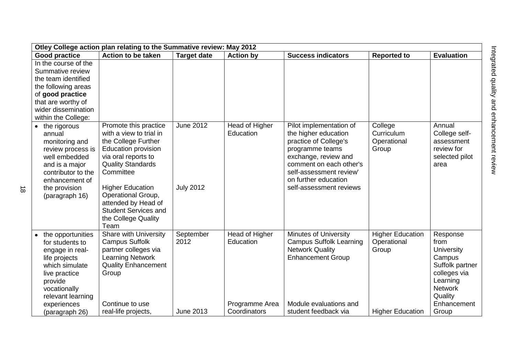| Otley College action plan relating to the Summative review: May 2012                                                                                                                    |                                                                                                                                                                                                                                                                                                             |                                      |                                               |                                                                                                                                                                                                                              |                                                 |                                                                                                                                     |  |  |
|-----------------------------------------------------------------------------------------------------------------------------------------------------------------------------------------|-------------------------------------------------------------------------------------------------------------------------------------------------------------------------------------------------------------------------------------------------------------------------------------------------------------|--------------------------------------|-----------------------------------------------|------------------------------------------------------------------------------------------------------------------------------------------------------------------------------------------------------------------------------|-------------------------------------------------|-------------------------------------------------------------------------------------------------------------------------------------|--|--|
| <b>Good practice</b>                                                                                                                                                                    | Action to be taken                                                                                                                                                                                                                                                                                          | <b>Target date</b>                   | <b>Action by</b>                              | <b>Success indicators</b>                                                                                                                                                                                                    | <b>Reported to</b>                              | <b>Evaluation</b>                                                                                                                   |  |  |
| In the course of the<br>Summative review<br>the team identified<br>the following areas<br>of good practice<br>that are worthy of<br>wider dissemination<br>within the College:          |                                                                                                                                                                                                                                                                                                             |                                      |                                               |                                                                                                                                                                                                                              |                                                 |                                                                                                                                     |  |  |
| • the rigorous<br>annual<br>monitoring and<br>review process is<br>well embedded<br>and is a major<br>contributor to the<br>enhancement of<br>the provision<br>(paragraph 16)           | Promote this practice<br>with a view to trial in<br>the College Further<br><b>Education provision</b><br>via oral reports to<br><b>Quality Standards</b><br>Committee<br><b>Higher Education</b><br>Operational Group,<br>attended by Head of<br><b>Student Services and</b><br>the College Quality<br>Team | <b>June 2012</b><br><b>July 2012</b> | Head of Higher<br>Education                   | Pilot implementation of<br>the higher education<br>practice of College's<br>programme teams<br>exchange, review and<br>comment on each other's<br>self-assessment review'<br>on further education<br>self-assessment reviews | College<br>Curriculum<br>Operational<br>Group   | Annual<br>College self-<br>assessment<br>review for<br>selected pilot<br>area                                                       |  |  |
| the opportunities<br>$\bullet$<br>for students to<br>engage in real-<br>life projects<br>which simulate<br>live practice<br>provide<br>vocationally<br>relevant learning<br>experiences | <b>Share with University</b><br><b>Campus Suffolk</b><br>partner colleges via<br><b>Learning Network</b><br><b>Quality Enhancement</b><br>Group<br>Continue to use                                                                                                                                          | September<br>2012                    | Head of Higher<br>Education<br>Programme Area | <b>Minutes of University</b><br><b>Campus Suffolk Learning</b><br><b>Network Quality</b><br><b>Enhancement Group</b><br>Module evaluations and                                                                               | <b>Higher Education</b><br>Operational<br>Group | Response<br>from<br>University<br>Campus<br>Suffolk partner<br>colleges via<br>Learning<br><b>Network</b><br>Quality<br>Enhancement |  |  |
| (paragraph 26)                                                                                                                                                                          | real-life projects,                                                                                                                                                                                                                                                                                         | <b>June 2013</b>                     | Coordinators                                  | student feedback via                                                                                                                                                                                                         | <b>Higher Education</b>                         | Group                                                                                                                               |  |  |

 $\vec{\infty}$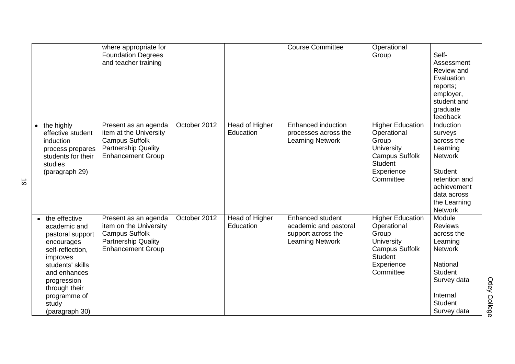|           |                                                                                                                                                                                                                | where appropriate for<br><b>Foundation Degrees</b><br>and teacher training                                                        |              |                             | <b>Course Committee</b>                                                                           | Operational<br>Group                                                                                                                | Self-<br>Assessment<br>Review and<br>Evaluation<br>reports;<br>employer,<br>student and<br>graduate<br>feedback                                                |
|-----------|----------------------------------------------------------------------------------------------------------------------------------------------------------------------------------------------------------------|-----------------------------------------------------------------------------------------------------------------------------------|--------------|-----------------------------|---------------------------------------------------------------------------------------------------|-------------------------------------------------------------------------------------------------------------------------------------|----------------------------------------------------------------------------------------------------------------------------------------------------------------|
|           | the highly<br>effective student<br>induction<br>process prepares<br>students for their<br>studies<br>(paragraph 29)                                                                                            | Present as an agenda<br>item at the University<br><b>Campus Suffolk</b><br><b>Partnership Quality</b><br><b>Enhancement Group</b> | October 2012 | Head of Higher<br>Education | Enhanced induction<br>processes across the<br><b>Learning Network</b>                             | <b>Higher Education</b><br>Operational<br>Group<br>University<br><b>Campus Suffolk</b><br><b>Student</b><br>Experience<br>Committee | Induction<br>surveys<br>across the<br>Learning<br><b>Network</b><br><b>Student</b><br>retention and<br>achievement<br>data across<br>the Learning<br>Network   |
| $\bullet$ | the effective<br>academic and<br>pastoral support<br>encourages<br>self-reflection,<br>improves<br>students' skills<br>and enhances<br>progression<br>through their<br>programme of<br>study<br>(paragraph 30) | Present as an agenda<br>item on the University<br><b>Campus Suffolk</b><br><b>Partnership Quality</b><br><b>Enhancement Group</b> | October 2012 | Head of Higher<br>Education | <b>Enhanced student</b><br>academic and pastoral<br>support across the<br><b>Learning Network</b> | <b>Higher Education</b><br>Operational<br>Group<br>University<br><b>Campus Suffolk</b><br><b>Student</b><br>Experience<br>Committee | Module<br><b>Reviews</b><br>across the<br>Learning<br><b>Network</b><br>National<br><b>Student</b><br>Survey data<br>Internal<br><b>Student</b><br>Survey data |

 $\vec{\circ}$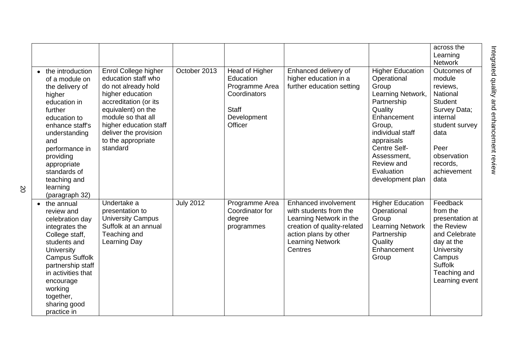|                                                                                                                                                                                                                                                                     |                                                                                                                                                                                                                                                  |                  |                                                                                                         |                                                                                                                                                                         |                                                                                                                                                                                                                                          | across the<br>Learning<br><b>Network</b>                                                                                                                                        |
|---------------------------------------------------------------------------------------------------------------------------------------------------------------------------------------------------------------------------------------------------------------------|--------------------------------------------------------------------------------------------------------------------------------------------------------------------------------------------------------------------------------------------------|------------------|---------------------------------------------------------------------------------------------------------|-------------------------------------------------------------------------------------------------------------------------------------------------------------------------|------------------------------------------------------------------------------------------------------------------------------------------------------------------------------------------------------------------------------------------|---------------------------------------------------------------------------------------------------------------------------------------------------------------------------------|
| • the introduction<br>of a module on<br>the delivery of<br>higher<br>education in<br>further<br>education to<br>enhance staff's<br>understanding<br>and<br>performance in<br>providing<br>appropriate<br>standards of<br>teaching and<br>learning<br>(paragraph 32) | Enrol College higher<br>education staff who<br>do not already hold<br>higher education<br>accreditation (or its<br>equivalent) on the<br>module so that all<br>higher education staff<br>deliver the provision<br>to the appropriate<br>standard | October 2013     | Head of Higher<br>Education<br>Programme Area<br>Coordinators<br><b>Staff</b><br>Development<br>Officer | Enhanced delivery of<br>higher education in a<br>further education setting                                                                                              | <b>Higher Education</b><br>Operational<br>Group<br>Learning Network,<br>Partnership<br>Quality<br>Enhancement<br>Group,<br>individual staff<br>appraisals<br>Centre Self-<br>Assessment,<br>Review and<br>Evaluation<br>development plan | Outcomes of<br>module<br>reviews,<br>National<br><b>Student</b><br>Survey Data;<br>internal<br>student survey<br>data<br>Peer<br>observation<br>records,<br>achievement<br>data |
| $\bullet$ the annual<br>review and<br>celebration day<br>integrates the<br>College staff,<br>students and<br>University<br><b>Campus Suffolk</b><br>partnership staff<br>in activities that<br>encourage<br>working<br>together,<br>sharing good<br>practice in     | Undertake a<br>presentation to<br><b>University Campus</b><br>Suffolk at an annual<br>Teaching and<br>Learning Day                                                                                                                               | <b>July 2012</b> | Programme Area<br>Coordinator for<br>degree<br>programmes                                               | Enhanced involvement<br>with students from the<br>Learning Network in the<br>creation of quality-related<br>action plans by other<br><b>Learning Network</b><br>Centres | <b>Higher Education</b><br>Operational<br>Group<br><b>Learning Network</b><br>Partnership<br>Quality<br>Enhancement<br>Group                                                                                                             | Feedback<br>from the<br>presentation at<br>the Review<br>and Celebrate<br>day at the<br><b>University</b><br>Campus<br><b>Suffolk</b><br>Teaching and<br>Learning event         |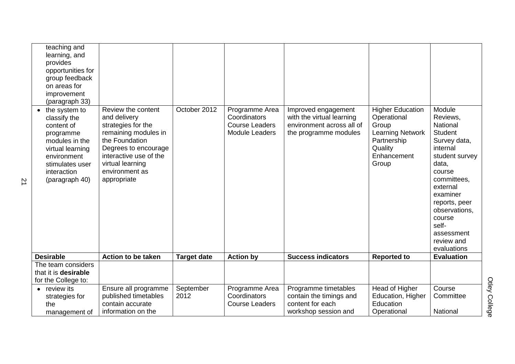| teaching and<br>learning, and<br>provides<br>opportunities for<br>group feedback<br>on areas for<br>improvement<br>(paragraph 33)                                   |                                                                                                                                                                                                           |                    |                                                                                  |                                                                                                        |                                                                                                                              |                                                                                                                                                                                                                                                          |
|---------------------------------------------------------------------------------------------------------------------------------------------------------------------|-----------------------------------------------------------------------------------------------------------------------------------------------------------------------------------------------------------|--------------------|----------------------------------------------------------------------------------|--------------------------------------------------------------------------------------------------------|------------------------------------------------------------------------------------------------------------------------------|----------------------------------------------------------------------------------------------------------------------------------------------------------------------------------------------------------------------------------------------------------|
| • the system to<br>classify the<br>content of<br>programme<br>modules in the<br>virtual learning<br>environment<br>stimulates user<br>interaction<br>(paragraph 40) | Review the content<br>and delivery<br>strategies for the<br>remaining modules in<br>the Foundation<br>Degrees to encourage<br>interactive use of the<br>virtual learning<br>environment as<br>appropriate | October 2012       | Programme Area<br>Coordinators<br><b>Course Leaders</b><br><b>Module Leaders</b> | Improved engagement<br>with the virtual learning<br>environment across all of<br>the programme modules | <b>Higher Education</b><br>Operational<br>Group<br><b>Learning Network</b><br>Partnership<br>Quality<br>Enhancement<br>Group | Module<br>Reviews,<br>National<br><b>Student</b><br>Survey data,<br>internal<br>student survey<br>data,<br>course<br>committees,<br>external<br>examiner<br>reports, peer<br>observations,<br>course<br>self-<br>assessment<br>review and<br>evaluations |
| <b>Desirable</b>                                                                                                                                                    | Action to be taken                                                                                                                                                                                        | <b>Target date</b> | <b>Action by</b>                                                                 | <b>Success indicators</b>                                                                              | <b>Reported to</b>                                                                                                           | <b>Evaluation</b>                                                                                                                                                                                                                                        |
| The team considers<br>that it is desirable<br>for the College to:                                                                                                   |                                                                                                                                                                                                           |                    |                                                                                  |                                                                                                        |                                                                                                                              |                                                                                                                                                                                                                                                          |
| review its<br>$\bullet$<br>strategies for<br>the<br>management of                                                                                                   | Ensure all programme<br>published timetables<br>contain accurate<br>information on the                                                                                                                    | September<br>2012  | Programme Area<br>Coordinators<br><b>Course Leaders</b>                          | Programme timetables<br>contain the timings and<br>content for each<br>workshop session and            | Head of Higher<br>Education, Higher<br>Education<br>Operational                                                              | Course<br>Committee<br>National                                                                                                                                                                                                                          |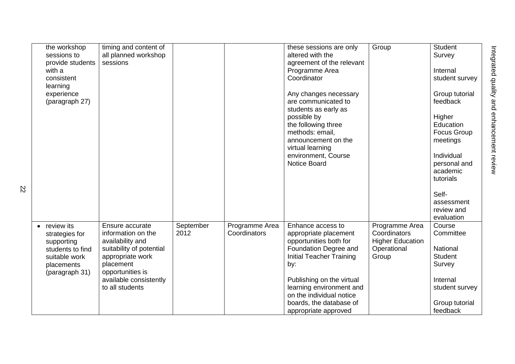| the workshop<br>sessions to<br>provide students<br>with a<br>consistent<br>learning<br>experience<br>(paragraph 27) | timing and content of<br>all planned workshop<br>sessions                                                                                  |                   |                                | these sessions are only<br>altered with the<br>agreement of the relevant<br>Programme Area<br>Coordinator<br>Any changes necessary<br>are communicated to | Group                                                                             | <b>Student</b><br>Survey<br>Internal<br>student survey<br>Group tutorial<br>feedback |
|---------------------------------------------------------------------------------------------------------------------|--------------------------------------------------------------------------------------------------------------------------------------------|-------------------|--------------------------------|-----------------------------------------------------------------------------------------------------------------------------------------------------------|-----------------------------------------------------------------------------------|--------------------------------------------------------------------------------------|
|                                                                                                                     |                                                                                                                                            |                   |                                | students as early as<br>possible by<br>the following three<br>methods: email,<br>announcement on the<br>virtual learning                                  |                                                                                   | Higher<br>Education<br>Focus Group<br>meetings                                       |
|                                                                                                                     |                                                                                                                                            |                   |                                | environment, Course<br><b>Notice Board</b>                                                                                                                |                                                                                   | Individual<br>personal and<br>academic<br>tutorials<br>Self-                         |
|                                                                                                                     |                                                                                                                                            |                   |                                |                                                                                                                                                           |                                                                                   | assessment<br>review and<br>evaluation                                               |
| review its<br>strategies for<br>supporting<br>students to find<br>suitable work<br>placements<br>(paragraph 31)     | Ensure accurate<br>information on the<br>availability and<br>suitability of potential<br>appropriate work<br>placement<br>opportunities is | September<br>2012 | Programme Area<br>Coordinators | Enhance access to<br>appropriate placement<br>opportunities both for<br>Foundation Degree and<br><b>Initial Teacher Training</b><br>by:                   | Programme Area<br>Coordinators<br><b>Higher Education</b><br>Operational<br>Group | Course<br>Committee<br><b>National</b><br><b>Student</b><br>Survey                   |
|                                                                                                                     | available consistently<br>to all students                                                                                                  |                   |                                | Publishing on the virtual<br>learning environment and<br>on the individual notice<br>boards, the database of<br>appropriate approved                      |                                                                                   | Internal<br>student survey<br>Group tutorial<br>feedback                             |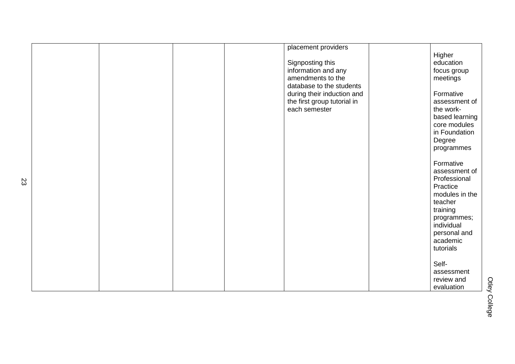|  |  | placement providers         |                |
|--|--|-----------------------------|----------------|
|  |  |                             | Higher         |
|  |  | Signposting this            | education      |
|  |  | information and any         | focus group    |
|  |  | amendments to the           |                |
|  |  |                             | meetings       |
|  |  | database to the students    |                |
|  |  | during their induction and  | Formative      |
|  |  | the first group tutorial in | assessment of  |
|  |  | each semester               | the work-      |
|  |  |                             | based learning |
|  |  |                             | core modules   |
|  |  |                             | in Foundation  |
|  |  |                             | Degree         |
|  |  |                             | programmes     |
|  |  |                             |                |
|  |  |                             | Formative      |
|  |  |                             | assessment of  |
|  |  |                             |                |
|  |  |                             | Professional   |
|  |  |                             | Practice       |
|  |  |                             | modules in the |
|  |  |                             | teacher        |
|  |  |                             | training       |
|  |  |                             | programmes;    |
|  |  |                             | individual     |
|  |  |                             | personal and   |
|  |  |                             | academic       |
|  |  |                             | tutorials      |
|  |  |                             |                |
|  |  |                             | Self-          |
|  |  |                             | assessment     |
|  |  |                             | review and     |
|  |  |                             | evaluation     |
|  |  |                             |                |